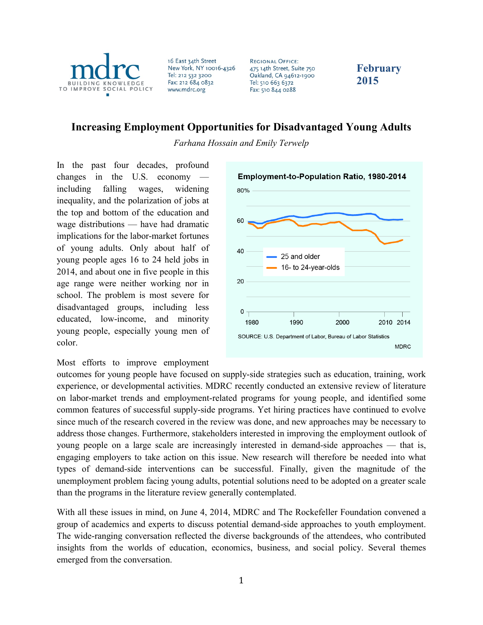

16 East 34th Street New York, NY 10016-4326 Tel: 212 532 3200 Fax: 212 684 0832 www.mdrc.org

**REGIONAL OFFICE:** 475 14th Street, Suite 750 Oakland, CA 94612-1900 Tel: 510 663 6372 Fax: 510 844 0288

**February 2015**

# **Increasing Employment Opportunities for Disadvantaged Young Adults**

*Farhana Hossain and Emily Terwelp*

In the past four decades, profound changes in the  $U.S.$  economy including falling wages, widening inequality, and the polarization of jobs at the top and bottom of the education and wage distributions — have had dramatic implications for the labor-market fortunes of young adults. Only about half of young people ages 16 to 24 held jobs in 2014, and about one in five people in this age range were neither working nor in school. The problem is most severe for disadvantaged groups, including less educated, low-income, and minority young people, especially young men of color.



#### Most efforts to improve employment

outcomes for young people have focused on supply-side strategies such as education, training, work experience, or developmental activities. MDRC recently conducted an extensive review of literature on labor-market trends and employment-related programs for young people, and identified some common features of successful supply-side programs. Yet hiring practices have continued to evolve since much of the research covered in the review was done, and new approaches may be necessary to address those changes. Furthermore, stakeholders interested in improving the employment outlook of young people on a large scale are increasingly interested in demand-side approaches — that is, engaging employers to take action on this issue. New research will therefore be needed into what types of demand-side interventions can be successful. Finally, given the magnitude of the unemployment problem facing young adults, potential solutions need to be adopted on a greater scale than the programs in the literature review generally contemplated.

With all these issues in mind, on June 4, 2014, MDRC and The Rockefeller Foundation convened a group of academics and experts to discuss potential demand-side approaches to youth employment. The wide-ranging conversation reflected the diverse backgrounds of the attendees, who contributed insights from the worlds of education, economics, business, and social policy. Several themes emerged from the conversation.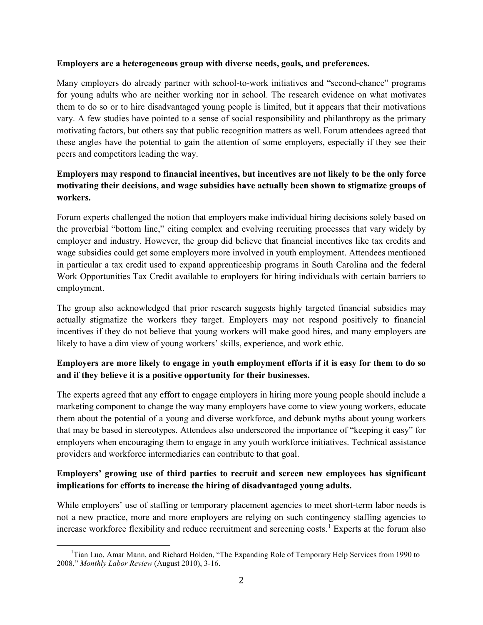#### **Employers are a heterogeneous group with diverse needs, goals, and preferences.**

Many employers do already partner with school-to-work initiatives and "second-chance" programs for young adults who are neither working nor in school. The research evidence on what motivates them to do so or to hire disadvantaged young people is limited, but it appears that their motivations vary. A few studies have pointed to a sense of social responsibility and philanthropy as the primary motivating factors, but others say that public recognition matters as well. Forum attendees agreed that these angles have the potential to gain the attention of some employers, especially if they see their peers and competitors leading the way.

## **Employers may respond to financial incentives, but incentives are not likely to be the only force motivating their decisions, and wage subsidies have actually been shown to stigmatize groups of workers.**

Forum experts challenged the notion that employers make individual hiring decisions solely based on the proverbial "bottom line," citing complex and evolving recruiting processes that vary widely by employer and industry. However, the group did believe that financial incentives like tax credits and wage subsidies could get some employers more involved in youth employment. Attendees mentioned in particular a tax credit used to expand apprenticeship programs in South Carolina and the federal Work Opportunities Tax Credit available to employers for hiring individuals with certain barriers to employment.

The group also acknowledged that prior research suggests highly targeted financial subsidies may actually stigmatize the workers they target. Employers may not respond positively to financial incentives if they do not believe that young workers will make good hires, and many employers are likely to have a dim view of young workers' skills, experience, and work ethic.

#### **Employers are more likely to engage in youth employment efforts if it is easy for them to do so and if they believe it is a positive opportunity for their businesses.**

The experts agreed that any effort to engage employers in hiring more young people should include a marketing component to change the way many employers have come to view young workers, educate them about the potential of a young and diverse workforce, and debunk myths about young workers that may be based in stereotypes. Attendees also underscored the importance of "keeping it easy" for employers when encouraging them to engage in any youth workforce initiatives. Technical assistance providers and workforce intermediaries can contribute to that goal.

## **Employers' growing use of third parties to recruit and screen new employees has significant implications for efforts to increase the hiring of disadvantaged young adults.**

While employers' use of staffing or temporary placement agencies to meet short-term labor needs is not a new practice, more and more employers are relying on such contingency staffing agencies to increase workforce flexibility and reduce recruitment and screening costs.<sup>[1](#page-1-0)</sup> Experts at the forum also

<span id="page-1-0"></span> $\overline{\phantom{a}}$ <sup>1</sup>Tian Luo, Amar Mann, and Richard Holden, "The Expanding Role of Temporary Help Services from 1990 to 2008," *Monthly Labor Review* (August 2010), 3-16.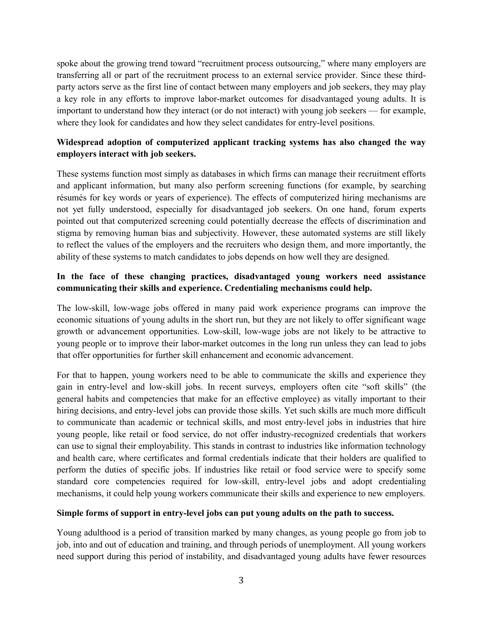spoke about the growing trend toward "recruitment process outsourcing," where many employers are transferring all or part of the recruitment process to an external service provider. Since these thirdparty actors serve as the first line of contact between many employers and job seekers, they may play a key role in any efforts to improve labor-market outcomes for disadvantaged young adults. It is important to understand how they interact (or do not interact) with young job seekers — for example, where they look for candidates and how they select candidates for entry-level positions.

#### **Widespread adoption of computerized applicant tracking systems has also changed the way employers interact with job seekers.**

These systems function most simply as databases in which firms can manage their recruitment efforts and applicant information, but many also perform screening functions (for example, by searching résumés for key words or years of experience). The effects of computerized hiring mechanisms are not yet fully understood, especially for disadvantaged job seekers. On one hand, forum experts pointed out that computerized screening could potentially decrease the effects of discrimination and stigma by removing human bias and subjectivity. However, these automated systems are still likely to reflect the values of the employers and the recruiters who design them, and more importantly, the ability of these systems to match candidates to jobs depends on how well they are designed.

#### **In the face of these changing practices, disadvantaged young workers need assistance communicating their skills and experience. Credentialing mechanisms could help.**

The low-skill, low-wage jobs offered in many paid work experience programs can improve the economic situations of young adults in the short run, but they are not likely to offer significant wage growth or advancement opportunities. Low-skill, low-wage jobs are not likely to be attractive to young people or to improve their labor-market outcomes in the long run unless they can lead to jobs that offer opportunities for further skill enhancement and economic advancement.

For that to happen, young workers need to be able to communicate the skills and experience they gain in entry-level and low-skill jobs. In recent surveys, employers often cite "soft skills" (the general habits and competencies that make for an effective employee) as vitally important to their hiring decisions, and entry-level jobs can provide those skills. Yet such skills are much more difficult to communicate than academic or technical skills, and most entry-level jobs in industries that hire young people, like retail or food service, do not offer industry-recognized credentials that workers can use to signal their employability. This stands in contrast to industries like information technology and health care, where certificates and formal credentials indicate that their holders are qualified to perform the duties of specific jobs. If industries like retail or food service were to specify some standard core competencies required for low-skill, entry-level jobs and adopt credentialing mechanisms, it could help young workers communicate their skills and experience to new employers.

#### **Simple forms of support in entry-level jobs can put young adults on the path to success.**

Young adulthood is a period of transition marked by many changes, as young people go from job to job, into and out of education and training, and through periods of unemployment. All young workers need support during this period of instability, and disadvantaged young adults have fewer resources